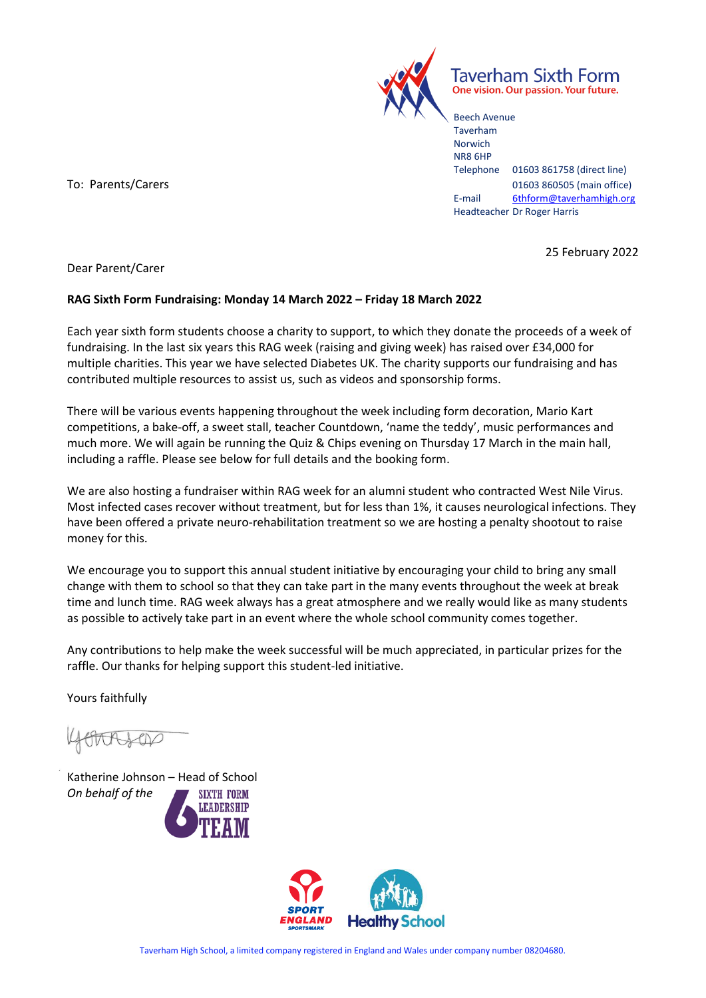

Taverham Sixth Form One vision. Our passion. Your future.

Beech Avenue Taverham Norwich NR8 6HP Telephone 01603 861758 (direct line) To: Parents/Carers 2008 860505 (main office) E-mail [6thform@taverhamhigh.org](mailto:6thform@taverhamhigh.org) Headteacher Dr Roger Harris

25 February 2022

Dear Parent/Carer

## **RAG Sixth Form Fundraising: Monday 14 March 2022 – Friday 18 March 2022**

Each year sixth form students choose a charity to support, to which they donate the proceeds of a week of fundraising. In the last six years this RAG week (raising and giving week) has raised over £34,000 for multiple charities. This year we have selected Diabetes UK. The charity supports our fundraising and has contributed multiple resources to assist us, such as videos and sponsorship forms.

There will be various events happening throughout the week including form decoration, Mario Kart competitions, a bake-off, a sweet stall, teacher Countdown, 'name the teddy', music performances and much more. We will again be running the Quiz & Chips evening on Thursday 17 March in the main hall, including a raffle. Please see below for full details and the booking form.

We are also hosting a fundraiser within RAG week for an alumni student who contracted West Nile Virus. Most infected cases recover without treatment, but for less than 1%, it causes neurological infections. They have been offered a private neuro-rehabilitation treatment so we are hosting a penalty shootout to raise money for this.

We encourage you to support this annual student initiative by encouraging your child to bring any small change with them to school so that they can take part in the many events throughout the week at break time and lunch time. RAG week always has a great atmosphere and we really would like as many students as possible to actively take part in an event where the whole school community comes together.

Any contributions to help make the week successful will be much appreciated, in particular prizes for the raffle. Our thanks for helping support this student-led initiative.

Yours faithfully

TORICA

Katherine Johnson – Head of School *On behalf of the***SIXTH FORM**